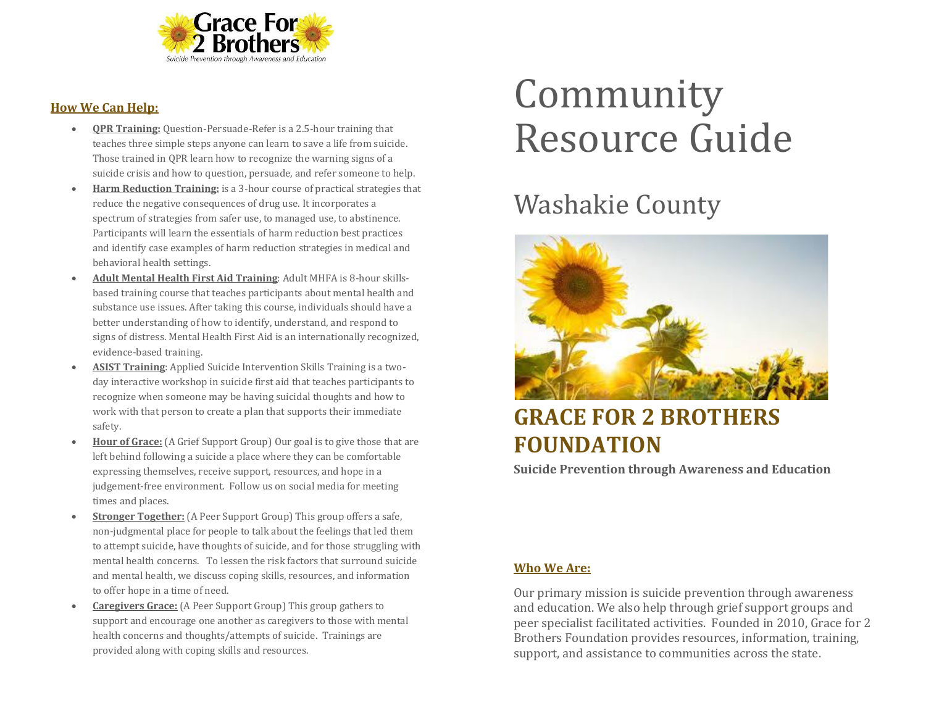

#### **How We Can Help:**

- **QPR Training:** Question-Persuade-Refer is a 2.5-hour training that teaches three simple steps anyone can learn to save a life from suicide. Those trained in QPR learn how to recognize the warning signs of a suicide crisis and how to question, persuade, and refer someone to help.
- **Harm Reduction Training:** is a 3-hour course of practical strategies that reduce the negative consequences of drug use. It incorporates a spectrum of strategies from safer use, to managed use, to abstinence. Participants will learn the essentials of harm reduction best practices and identify case examples of harm reduction strategies in medical and behavioral health settings.
- **Adult Mental Health First Aid Training**: Adult MHFA is 8-hour skillsbased training course that teaches participants about mental health and substance use issues. After taking this course, individuals should have a better understanding of how to identify, understand, and respond to signs of distress. Mental Health First Aid is an internationally recognized, evidence-based training.
- **ASIST Training**: Applied Suicide Intervention Skills Training is a twoday interactive workshop in suicide first aid that teaches participants to recognize when someone may be having suicidal thoughts and how to work with that person to create a plan that supports their immediate safety.
- **Hour of Grace:** (A Grief Support Group) Our goal is to give those that are left behind following a suicide a place where they can be comfortable expressing themselves, receive support, resources, and hope in a judgement-free environment. Follow us on social media for meeting times and places.
- **Stronger Together:** (A Peer Support Group) This group offers a safe, non-judgmental place for people to talk about the feelings that led them to attempt suicide, have thoughts of suicide, and for those struggling with mental health concerns. To lessen the risk factors that surround suicide and mental health, we discuss coping skills, resources, and information to offer hope in a time of need.
- **Caregivers Grace:** (A Peer Support Group) This group gathers to support and encourage one another as caregivers to those with mental health concerns and thoughts/attempts of suicide. Trainings are provided along with coping skills and resources.

# Community Resource Guide

## Washakie County



### **GRACE FOR 2 BROTHERS FOUNDATION**

**Suicide Prevention through Awareness and Education**

#### **Who We Are:**

Our primary mission is suicide prevention through awareness and education. We also help through grief support groups and peer specialist facilitated activities. Founded in 2010, Grace for 2 Brothers Foundation provides resources, information, training, support, and assistance to communities across the state.